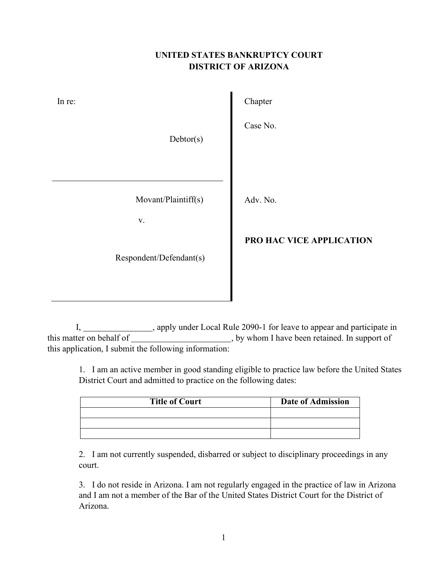## **UNITED STATES BANKRUPTCY COURT DISTRICT OF ARIZONA**

| In re:                                | Chapter                  |
|---------------------------------------|--------------------------|
| Debtor(s)                             | Case No.                 |
| Movant/Plaintiff(s)<br>$\mathbf{V}$ . | Adv. No.                 |
| Respondent/Defendant(s)               | PRO HAC VICE APPLICATION |

I, \_\_\_\_\_\_\_\_\_\_\_\_\_\_\_, apply under Local Rule 2090-1 for leave to appear and participate in this matter on behalf of , by whom I have been retained. In support of this application, I submit the following information:

1. I am an active member in good standing eligible to practice law before the United States District Court and admitted to practice on the following dates:

| <b>Title of Court</b> | <b>Date of Admission</b> |  |
|-----------------------|--------------------------|--|
|                       |                          |  |
|                       |                          |  |
|                       |                          |  |

2. I am not currently suspended, disbarred or subject to disciplinary proceedings in any court.

3. I do not reside in Arizona. I am not regularly engaged in the practice of law in Arizona and I am not a member of the Bar of the United States District Court for the District of Arizona.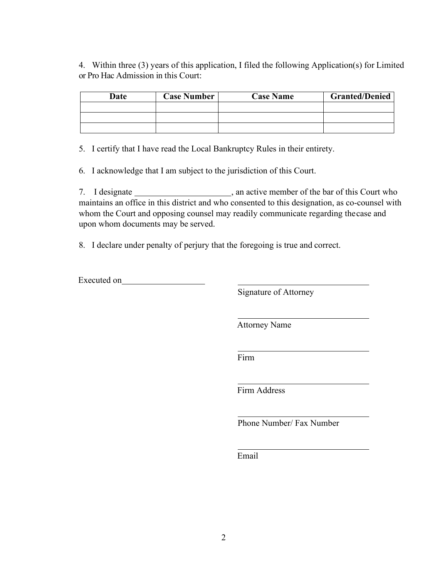4. Within three (3) years of this application, I filed the following Application(s) for Limited or Pro Hac Admission in this Court:

| Date | <b>Case Number</b> | <b>Case Name</b> | <b>Granted/Denied</b> |
|------|--------------------|------------------|-----------------------|
|      |                    |                  |                       |
|      |                    |                  |                       |
|      |                    |                  |                       |

5. I certify that I have read the Local Bankruptcy Rules in their entirety.

6. I acknowledge that I am subject to the jurisdiction of this Court.

7. I designate here is an active member of the bar of this Court who maintains an office in this district and who consented to this designation, as co-counsel with whom the Court and opposing counsel may readily communicate regarding thecase and upon whom documents may be served.

8. I declare under penalty of perjury that the foregoing is true and correct.

Executed on

Signature of Attorney

Attorney Name

Firm

Firm Address

Phone Number/ Fax Number

Email